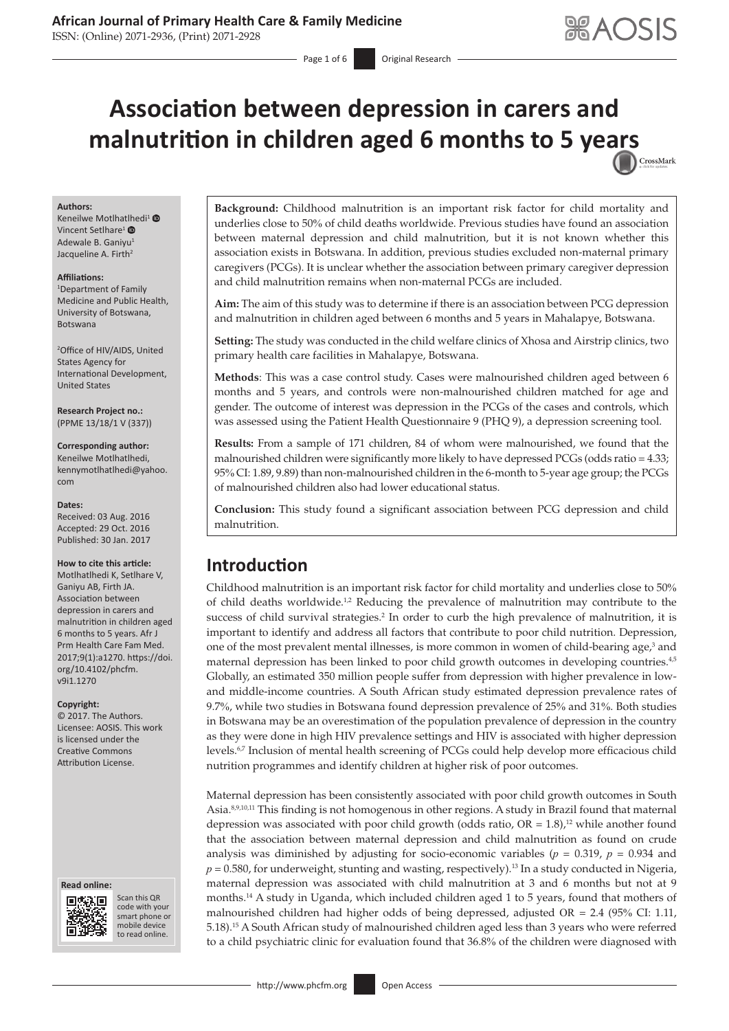## **African Journal of Primary Health Care & Family Medicine**

ISSN: (Online) 2071-2936, (Print) 2071-2928

Page 1 of 6 **Original Research** 

# **Association between depression in carers and malnutrition in children aged 6 months to 5 ye[ars](http://crossmark.crossref.org/dialog/?doi=10.4102/phcfm.v9i1.1270=pdf&date_stamp=2017-01-30)** CrossMark

#### **Authors:**

Keneilwe Motlhatlhedi<sup>1</sup> <sup>®</sup> Vincent Setlhare<sup>[1](http://orcid.org/0000-0003-2935-2897)</sup> <sup>®</sup> Adewale B. Ganiyu1 Jacqueline A. Firth<sup>2</sup>

#### **Affiliations:**

1 Department of Family Medicine and Public Health, University of Botswana, Botswana

2 Office of HIV/AIDS, United States Agency for International Development, United States

**Research Project no.:**  (PPME 13/18/1 V (337))

#### **Corresponding author:** Keneilwe Motlhatlhedi, [kennymotlhatlhedi@yahoo.](mailto:kennymotlhatlhedi@yahoo.com) [com](mailto:kennymotlhatlhedi@yahoo.com)

#### **Dates:**

Received: 03 Aug. 2016 Accepted: 29 Oct. 2016 Published: 30 Jan. 2017

#### **How to cite this article:**

Motlhatlhedi K, Setlhare V, Ganiyu AB, Firth JA. Association between depression in carers and malnutrition in children aged 6 months to 5 years. Afr J Prm Health Care Fam Med. 2017;9(1):a1270. [https://doi.](https://doi.org/10.4102/phcfm.v9i1.1270) [org/10.4102/phcfm.](https://doi.org/10.4102/phcfm.v9i1.1270) [v9i1.1270](https://doi.org/10.4102/phcfm.v9i1.1270)

#### **Copyright:**

© 2017. The Authors. Licensee: AOSIS. This work is licensed under the Creative Commons Attribution License.

#### **Read online: Read**



Scan this QR code with your Scan this QR<br>code with your<br>smart phone or<br>mobile device mobile device to read online. to read online.

**Background:** Childhood malnutrition is an important risk factor for child mortality and underlies close to 50% of child deaths worldwide. Previous studies have found an association between maternal depression and child malnutrition, but it is not known whether this association exists in Botswana. In addition, previous studies excluded non-maternal primary caregivers (PCGs). It is unclear whether the association between primary caregiver depression and child malnutrition remains when non-maternal PCGs are included.

**Aim:** The aim of this study was to determine if there is an association between PCG depression and malnutrition in children aged between 6 months and 5 years in Mahalapye, Botswana.

**Setting:** The study was conducted in the child welfare clinics of Xhosa and Airstrip clinics, two primary health care facilities in Mahalapye, Botswana.

**Methods**: This was a case control study. Cases were malnourished children aged between 6 months and 5 years, and controls were non-malnourished children matched for age and gender. The outcome of interest was depression in the PCGs of the cases and controls, which was assessed using the Patient Health Questionnaire 9 (PHQ 9), a depression screening tool.

**Results:** From a sample of 171 children, 84 of whom were malnourished, we found that the malnourished children were significantly more likely to have depressed PCGs (odds ratio = 4.33; 95% CI: 1.89, 9.89) than non-malnourished children in the 6-month to 5-year age group; the PCGs of malnourished children also had lower educational status.

**Conclusion:** This study found a significant association between PCG depression and child malnutrition.

# **Introduction**

Childhood malnutrition is an important risk factor for child mortality and underlies close to 50% of child deaths worldwide.<sup>1,2</sup> Reducing the prevalence of malnutrition may contribute to the success of child survival strategies.<sup>2</sup> In order to curb the high prevalence of malnutrition, it is important to identify and address all factors that contribute to poor child nutrition. Depression, one of the most prevalent mental illnesses, is more common in women of child-bearing age,<sup>3</sup> and maternal depression has been linked to poor child growth outcomes in developing countries.<sup>4,5</sup> Globally, an estimated 350 million people suffer from depression with higher prevalence in lowand middle-income countries. A South African study estimated depression prevalence rates of 9.7%, while two studies in Botswana found depression prevalence of 25% and 31%. Both studies in Botswana may be an overestimation of the population prevalence of depression in the country as they were done in high HIV prevalence settings and HIV is associated with higher depression levels.<sup>6,7</sup> Inclusion of mental health screening of PCGs could help develop more efficacious child nutrition programmes and identify children at higher risk of poor outcomes.

Maternal depression has been consistently associated with poor child growth outcomes in South Asia.8,9,10,11 This finding is not homogenous in other regions. A study in Brazil found that maternal depression was associated with poor child growth (odds ratio,  $OR = 1.8$ ),<sup>12</sup> while another found that the association between maternal depression and child malnutrition as found on crude analysis was diminished by adjusting for socio-economic variables ( $p = 0.319$ ,  $p = 0.934$  and  $p = 0.580$ , for underweight, stunting and wasting, respectively).<sup>13</sup> In a study conducted in Nigeria, maternal depression was associated with child malnutrition at 3 and 6 months but not at 9 months.<sup>14</sup> A study in Uganda, which included children aged 1 to 5 years, found that mothers of malnourished children had higher odds of being depressed, adjusted OR = 2.4 (95% CI: 1.11, 5.18).15 A South African study of malnourished children aged less than 3 years who were referred to a child psychiatric clinic for evaluation found that 36.8% of the children were diagnosed with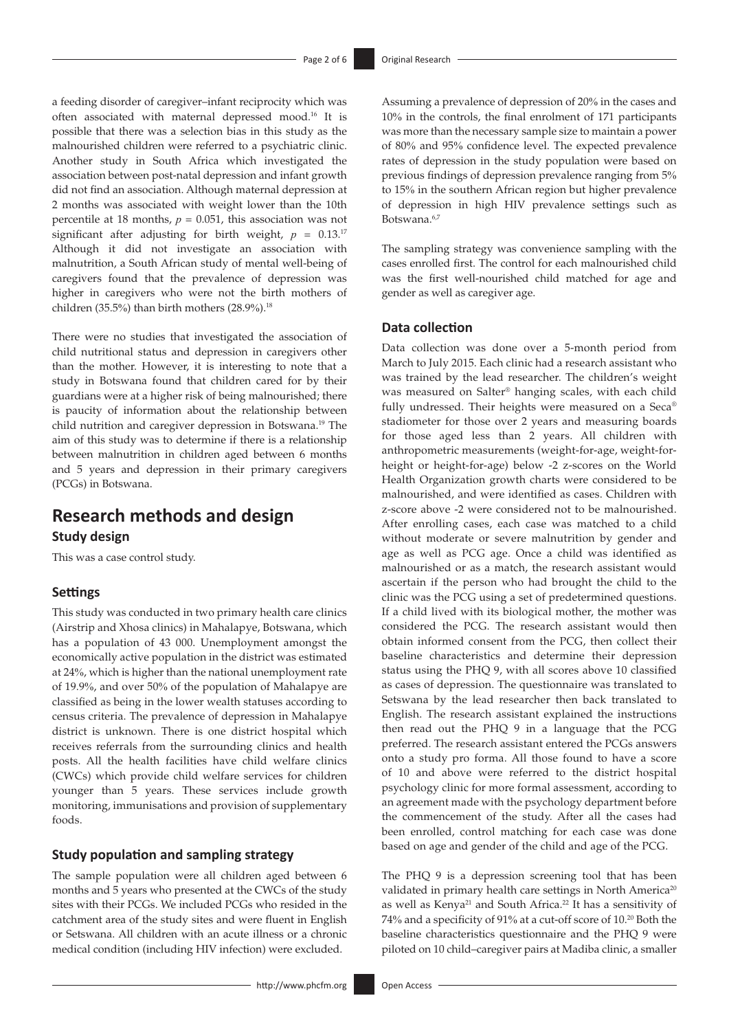a feeding disorder of caregiver–infant reciprocity which was often associated with maternal depressed mood.16 It is possible that there was a selection bias in this study as the malnourished children were referred to a psychiatric clinic. Another study in South Africa which investigated the association between post-natal depression and infant growth did not find an association. Although maternal depression at 2 months was associated with weight lower than the 10th percentile at 18 months, *p* = 0.051, this association was not significant after adjusting for birth weight, *p* = 0.13.17 Although it did not investigate an association with malnutrition, a South African study of mental well-being of caregivers found that the prevalence of depression was higher in caregivers who were not the birth mothers of children (35.5%) than birth mothers (28.9%).<sup>18</sup>

There were no studies that investigated the association of child nutritional status and depression in caregivers other than the mother. However, it is interesting to note that a study in Botswana found that children cared for by their guardians were at a higher risk of being malnourished; there is paucity of information about the relationship between child nutrition and caregiver depression in Botswana.19 The aim of this study was to determine if there is a relationship between malnutrition in children aged between 6 months and 5 years and depression in their primary caregivers (PCGs) in Botswana.

# **Research methods and design**

## **Study design**

This was a case control study.

## **Settings**

This study was conducted in two primary health care clinics (Airstrip and Xhosa clinics) in Mahalapye, Botswana, which has a population of 43 000. Unemployment amongst the economically active population in the district was estimated at 24%, which is higher than the national unemployment rate of 19.9%, and over 50% of the population of Mahalapye are classified as being in the lower wealth statuses according to census criteria. The prevalence of depression in Mahalapye district is unknown. There is one district hospital which receives referrals from the surrounding clinics and health posts. All the health facilities have child welfare clinics (CWCs) which provide child welfare services for children younger than 5 years. These services include growth monitoring, immunisations and provision of supplementary foods.

#### **Study population and sampling strategy**

The sample population were all children aged between 6 months and 5 years who presented at the CWCs of the study sites with their PCGs. We included PCGs who resided in the catchment area of the study sites and were fluent in English or Setswana. All children with an acute illness or a chronic medical condition (including HIV infection) were excluded.

Assuming a prevalence of depression of 20% in the cases and 10% in the controls, the final enrolment of 171 participants was more than the necessary sample size to maintain a power of 80% and 95% confidence level. The expected prevalence rates of depression in the study population were based on previous findings of depression prevalence ranging from 5% to 15% in the southern African region but higher prevalence of depression in high HIV prevalence settings such as Botswana.<sup>6,7</sup>

The sampling strategy was convenience sampling with the cases enrolled first. The control for each malnourished child was the first well-nourished child matched for age and gender as well as caregiver age.

## **Data collection**

Data collection was done over a 5-month period from March to July 2015. Each clinic had a research assistant who was trained by the lead researcher. The children's weight was measured on Salter® hanging scales, with each child fully undressed. Their heights were measured on a Seca® stadiometer for those over 2 years and measuring boards for those aged less than 2 years. All children with anthropometric measurements (weight-for-age, weight-forheight or height-for-age) below -2 z-scores on the World Health Organization growth charts were considered to be malnourished, and were identified as cases. Children with z-score above -2 were considered not to be malnourished. After enrolling cases, each case was matched to a child without moderate or severe malnutrition by gender and age as well as PCG age. Once a child was identified as malnourished or as a match, the research assistant would ascertain if the person who had brought the child to the clinic was the PCG using a set of predetermined questions. If a child lived with its biological mother, the mother was considered the PCG. The research assistant would then obtain informed consent from the PCG, then collect their baseline characteristics and determine their depression status using the PHQ 9, with all scores above 10 classified as cases of depression. The questionnaire was translated to Setswana by the lead researcher then back translated to English. The research assistant explained the instructions then read out the PHQ 9 in a language that the PCG preferred. The research assistant entered the PCGs answers onto a study pro forma. All those found to have a score of 10 and above were referred to the district hospital psychology clinic for more formal assessment, according to an agreement made with the psychology department before the commencement of the study. After all the cases had been enrolled, control matching for each case was done based on age and gender of the child and age of the PCG.

The PHQ 9 is a depression screening tool that has been validated in primary health care settings in North America<sup>20</sup> as well as Kenya<sup>21</sup> and South Africa.<sup>22</sup> It has a sensitivity of 74% and a specificity of 91% at a cut-off score of 10.20 Both the baseline characteristics questionnaire and the PHQ 9 were piloted on 10 child–caregiver pairs at Madiba clinic, a smaller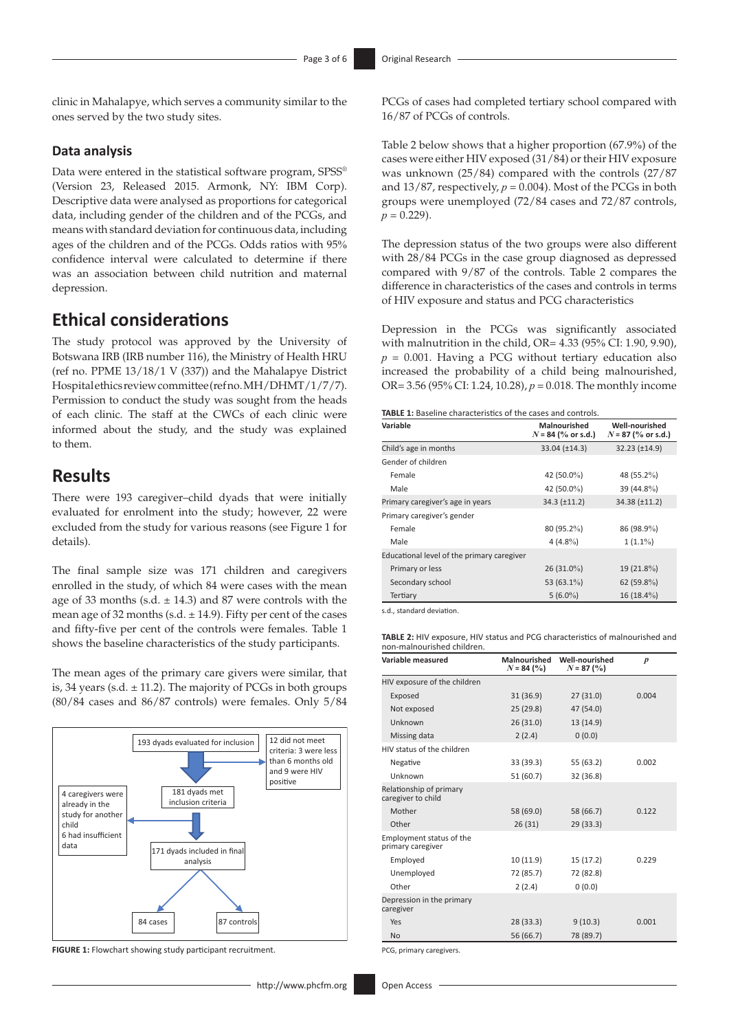clinic in Mahalapye, which serves a community similar to the ones served by the two study sites.

## **Data analysis**

Data were entered in the statistical software program, SPSS® (Version 23, Released 2015. Armonk, NY: IBM Corp). Descriptive data were analysed as proportions for categorical data, including gender of the children and of the PCGs, and means with standard deviation for continuous data, including ages of the children and of the PCGs. Odds ratios with 95% confidence interval were calculated to determine if there was an association between child nutrition and maternal depression.

# **Ethical considerations**

The study protocol was approved by the University of Botswana IRB (IRB number 116), the Ministry of Health HRU (ref no. PPME 13/18/1 V (337)) and the Mahalapye District Hospital ethics review committee (ref no. MH/DHMT/1/7/7). Permission to conduct the study was sought from the heads of each clinic. The staff at the CWCs of each clinic were informed about the study, and the study was explained to them.

# **Results**

There were 193 caregiver–child dyads that were initially evaluated for enrolment into the study; however, 22 were excluded from the study for various reasons (see Figure 1 for details).

The final sample size was 171 children and caregivers enrolled in the study, of which 84 were cases with the mean age of 33 months (s.d. ± 14.3) and 87 were controls with the mean age of 32 months (s.d.  $\pm$  14.9). Fifty per cent of the cases and fifty-five per cent of the controls were females. Table 1 shows the baseline characteristics of the study participants.

The mean ages of the primary care givers were similar, that is, 34 years (s.d.  $\pm$  11.2). The majority of PCGs in both groups (80/84 cases and 86/87 controls) were females. Only 5/84



**FIGURE 1:** Flowchart showing study participant recruitment.

PCGs of cases had completed tertiary school compared with 16/87 of PCGs of controls.

Table 2 below shows that a higher proportion (67.9%) of the cases were either HIV exposed (31/84) or their HIV exposure was unknown (25/84) compared with the controls (27/87 and  $13/87$ , respectively,  $p = 0.004$ ). Most of the PCGs in both groups were unemployed (72/84 cases and 72/87 controls,  $p = 0.229$ .

The depression status of the two groups were also different with 28/84 PCGs in the case group diagnosed as depressed compared with 9/87 of the controls. Table 2 compares the difference in characteristics of the cases and controls in terms of HIV exposure and status and PCG characteristics

Depression in the PCGs was significantly associated with malnutrition in the child, OR= 4.33 (95% CI: 1.90, 9.90),  $p = 0.001$ . Having a PCG without tertiary education also increased the probability of a child being malnourished, OR= 3.56 (95% CI: 1.24, 10.28), *p* = 0.018. The monthly income

| <b>TABLE 1:</b> Baseline characteristics of the cases and controls. |  |  |  |  |
|---------------------------------------------------------------------|--|--|--|--|
|---------------------------------------------------------------------|--|--|--|--|

| Variable                                   | Malnourished<br>$N = 84$ (% or s.d.) | Well-nourished<br>$N = 87$ (% or s.d.) |
|--------------------------------------------|--------------------------------------|----------------------------------------|
| Child's age in months                      | 33.04 (±14.3)                        | $32.23 (\pm 14.9)$                     |
| Gender of children                         |                                      |                                        |
| Female                                     | 42 (50.0%)                           | 48 (55.2%)                             |
| Male                                       | 42 (50.0%)                           | 39 (44.8%)                             |
| Primary caregiver's age in years           | $34.3 (\pm 11.2)$                    | $34.38 (\pm 11.2)$                     |
| Primary caregiver's gender                 |                                      |                                        |
| Female                                     | 80 (95.2%)                           | 86 (98.9%)                             |
| Male                                       | $4(4.8\%)$                           | $1(1.1\%)$                             |
| Educational level of the primary caregiver |                                      |                                        |
| Primary or less                            | $26(31.0\%)$                         | $19(21.8\%)$                           |
| Secondary school                           | 53 $(63.1\%)$                        | $62(59.8\%)$                           |
| Tertiary                                   | $5(6.0\%)$                           | $16(18.4\%)$                           |

s.d., standard deviation.

**TABLE 2:** HIV exposure, HIV status and PCG characteristics of malnourished and non-malnourished children.

| Variable measured                             | Malnourished<br>$N = 84$ (%) | Well-nourished<br>$N = 87 (%)$ | $\boldsymbol{p}$ |
|-----------------------------------------------|------------------------------|--------------------------------|------------------|
| HIV exposure of the children                  |                              |                                |                  |
| Exposed                                       | 31(36.9)                     | 27(31.0)                       | 0.004            |
| Not exposed                                   | 25(29.8)                     | 47 (54.0)                      |                  |
| Unknown                                       | 26(31.0)                     | 13 (14.9)                      |                  |
| Missing data                                  | 2(2.4)                       | 0(0.0)                         |                  |
| HIV status of the children                    |                              |                                |                  |
| Negative                                      | 33 (39.3)                    | 55 (63.2)                      | 0.002            |
| Unknown                                       | 51(60.7)                     | 32 (36.8)                      |                  |
| Relationship of primary<br>caregiver to child |                              |                                |                  |
| Mother                                        | 58 (69.0)                    | 58 (66.7)                      | 0.122            |
| Other                                         | 26(31)                       | 29(33.3)                       |                  |
| Employment status of the<br>primary caregiver |                              |                                |                  |
| Employed                                      | 10(11.9)                     | 15 (17.2)                      | 0.229            |
| Unemployed                                    | 72 (85.7)                    | 72 (82.8)                      |                  |
| Other                                         | 2(2.4)                       | 0(0.0)                         |                  |
| Depression in the primary<br>caregiver        |                              |                                |                  |
| Yes                                           | 28(33.3)                     | 9(10.3)                        | 0.001            |
| <b>No</b>                                     | 56 (66.7)                    | 78 (89.7)                      |                  |

PCG, primary caregivers.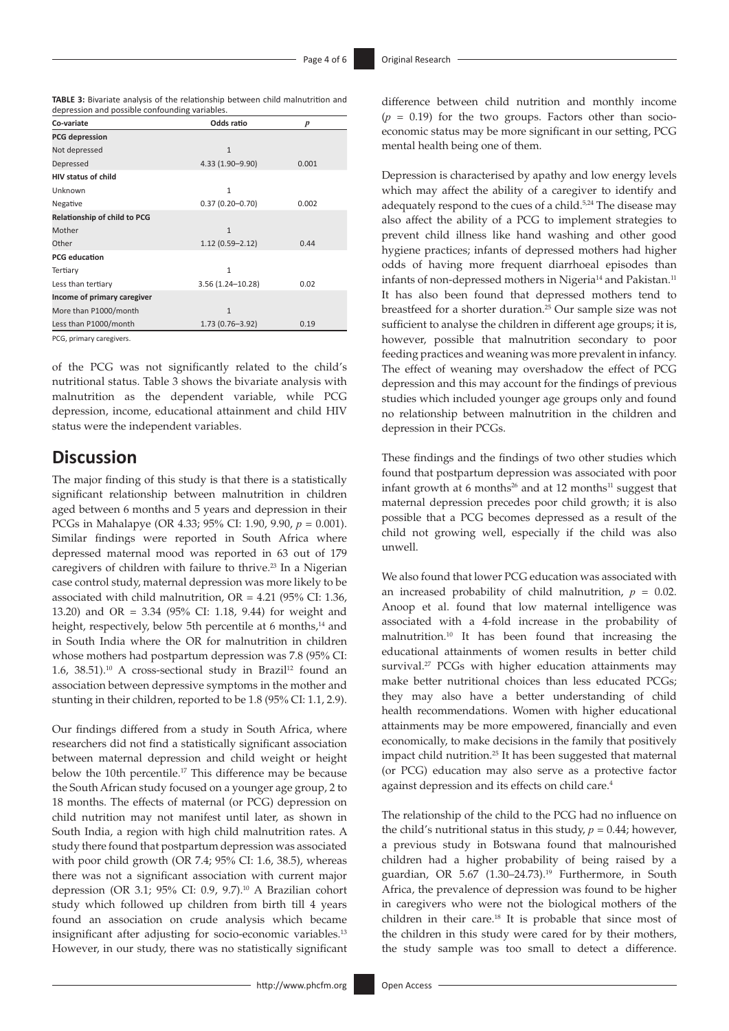**TABLE 3:** Bivariate analysis of the relationship between child malnutrition and depression and possible confounding variable

| Co-variate                   | Odds ratio          | $\boldsymbol{p}$ |
|------------------------------|---------------------|------------------|
| <b>PCG depression</b>        |                     |                  |
| Not depressed                | $\mathbf{1}$        |                  |
| Depressed                    | 4.33 (1.90-9.90)    | 0.001            |
| <b>HIV status of child</b>   |                     |                  |
| Unknown                      | $\mathbf{1}$        |                  |
| Negative                     | $0.37(0.20 - 0.70)$ | 0.002            |
| Relationship of child to PCG |                     |                  |
| Mother                       | $\mathbf{1}$        |                  |
| Other                        | $1.12(0.59 - 2.12)$ | 0.44             |
| <b>PCG</b> education         |                     |                  |
| Tertiary                     | $\mathbf{1}$        |                  |
| Less than tertiary           | 3.56 (1.24-10.28)   | 0.02             |
| Income of primary caregiver  |                     |                  |
| More than P1000/month        | $\mathbf{1}$        |                  |
| Less than P1000/month        | $1.73(0.76 - 3.92)$ | 0.19             |

PCG, primary caregivers.

of the PCG was not significantly related to the child's nutritional status. Table 3 shows the bivariate analysis with malnutrition as the dependent variable, while PCG depression, income, educational attainment and child HIV status were the independent variables.

## **Discussion**

The major finding of this study is that there is a statistically significant relationship between malnutrition in children aged between 6 months and 5 years and depression in their PCGs in Mahalapye (OR 4.33; 95% CI: 1.90, 9.90, *p* = 0.001). Similar findings were reported in South Africa where depressed maternal mood was reported in 63 out of 179 caregivers of children with failure to thrive.<sup>23</sup> In a Nigerian case control study, maternal depression was more likely to be associated with child malnutrition,  $OR = 4.21$  (95% CI: 1.36, 13.20) and OR = 3.34 (95% CI: 1.18, 9.44) for weight and height, respectively, below 5th percentile at 6 months,<sup>14</sup> and in South India where the OR for malnutrition in children whose mothers had postpartum depression was 7.8 (95% CI: 1.6, 38.51).<sup>10</sup> A cross-sectional study in Brazil<sup>12</sup> found an association between depressive symptoms in the mother and stunting in their children, reported to be 1.8 (95% CI: 1.1, 2.9).

Our findings differed from a study in South Africa, where researchers did not find a statistically significant association between maternal depression and child weight or height below the 10th percentile.17 This difference may be because the South African study focused on a younger age group, 2 to 18 months. The effects of maternal (or PCG) depression on child nutrition may not manifest until later, as shown in South India, a region with high child malnutrition rates. A study there found that postpartum depression was associated with poor child growth (OR 7.4; 95% CI: 1.6, 38.5), whereas there was not a significant association with current major depression (OR 3.1; 95% CI: 0.9, 9.7).10 A Brazilian cohort study which followed up children from birth till 4 years found an association on crude analysis which became insignificant after adjusting for socio-economic variables.<sup>13</sup> However, in our study, there was no statistically significant difference between child nutrition and monthly income  $(p = 0.19)$  for the two groups. Factors other than socioeconomic status may be more significant in our setting, PCG mental health being one of them.

Depression is characterised by apathy and low energy levels which may affect the ability of a caregiver to identify and adequately respond to the cues of a child.<sup>5,24</sup> The disease may also affect the ability of a PCG to implement strategies to prevent child illness like hand washing and other good hygiene practices; infants of depressed mothers had higher odds of having more frequent diarrhoeal episodes than infants of non-depressed mothers in Nigeria<sup>14</sup> and Pakistan.<sup>11</sup> It has also been found that depressed mothers tend to breastfeed for a shorter duration.<sup>25</sup> Our sample size was not sufficient to analyse the children in different age groups; it is, however, possible that malnutrition secondary to poor feeding practices and weaning was more prevalent in infancy. The effect of weaning may overshadow the effect of PCG depression and this may account for the findings of previous studies which included younger age groups only and found no relationship between malnutrition in the children and depression in their PCGs.

These findings and the findings of two other studies which found that postpartum depression was associated with poor infant growth at 6 months<sup>26</sup> and at 12 months<sup>11</sup> suggest that maternal depression precedes poor child growth; it is also possible that a PCG becomes depressed as a result of the child not growing well, especially if the child was also unwell.

We also found that lower PCG education was associated with an increased probability of child malnutrition,  $p = 0.02$ . Anoop et al. found that low maternal intelligence was associated with a 4-fold increase in the probability of malnutrition.10 It has been found that increasing the educational attainments of women results in better child survival.<sup>27</sup> PCGs with higher education attainments may make better nutritional choices than less educated PCGs; they may also have a better understanding of child health recommendations. Women with higher educational attainments may be more empowered, financially and even economically, to make decisions in the family that positively impact child nutrition.<sup>25</sup> It has been suggested that maternal (or PCG) education may also serve as a protective factor against depression and its effects on child care.4

The relationship of the child to the PCG had no influence on the child's nutritional status in this study,  $p = 0.44$ ; however, a previous study in Botswana found that malnourished children had a higher probability of being raised by a guardian, OR 5.67 (1.30-24.73).<sup>19</sup> Furthermore, in South Africa, the prevalence of depression was found to be higher in caregivers who were not the biological mothers of the children in their care.18 It is probable that since most of the children in this study were cared for by their mothers, the study sample was too small to detect a difference.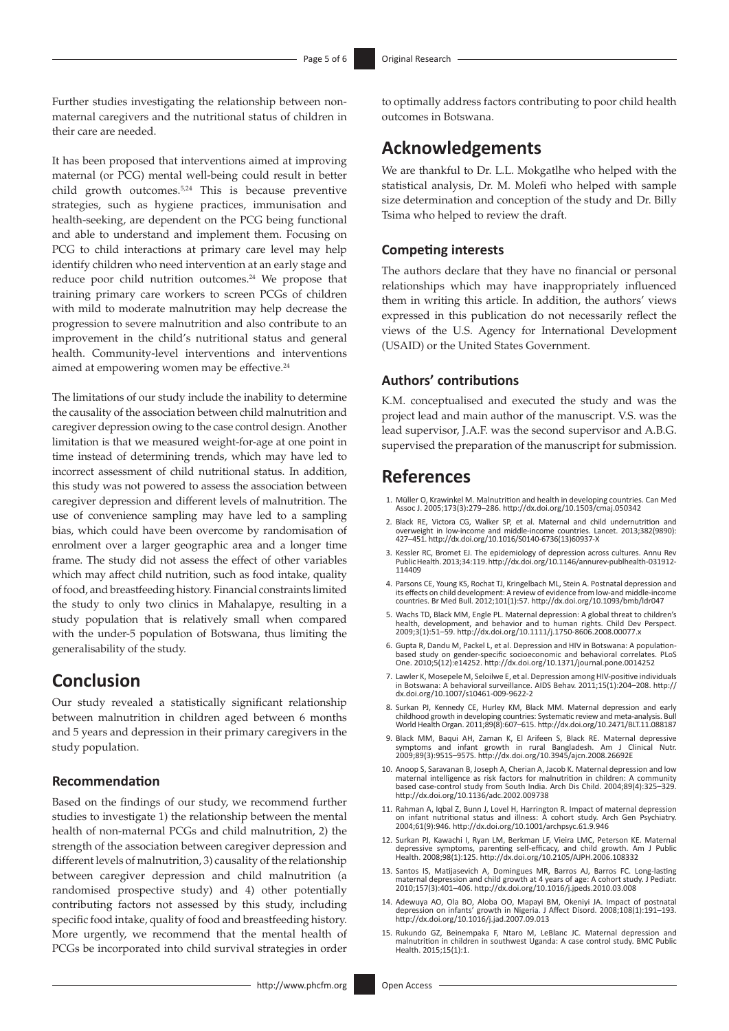Further studies investigating the relationship between nonmaternal caregivers and the nutritional status of children in their care are needed.

It has been proposed that interventions aimed at improving maternal (or PCG) mental well-being could result in better child growth outcomes.<sup>5,24</sup> This is because preventive strategies, such as hygiene practices, immunisation and health-seeking, are dependent on the PCG being functional and able to understand and implement them. Focusing on PCG to child interactions at primary care level may help identify children who need intervention at an early stage and reduce poor child nutrition outcomes.<sup>24</sup> We propose that training primary care workers to screen PCGs of children with mild to moderate malnutrition may help decrease the progression to severe malnutrition and also contribute to an improvement in the child's nutritional status and general health. Community-level interventions and interventions aimed at empowering women may be effective.<sup>24</sup>

The limitations of our study include the inability to determine the causality of the association between child malnutrition and caregiver depression owing to the case control design. Another limitation is that we measured weight-for-age at one point in time instead of determining trends, which may have led to incorrect assessment of child nutritional status. In addition, this study was not powered to assess the association between caregiver depression and different levels of malnutrition. The use of convenience sampling may have led to a sampling bias, which could have been overcome by randomisation of enrolment over a larger geographic area and a longer time frame. The study did not assess the effect of other variables which may affect child nutrition, such as food intake, quality of food, and breastfeeding history. Financial constraints limited the study to only two clinics in Mahalapye, resulting in a study population that is relatively small when compared with the under-5 population of Botswana, thus limiting the generalisability of the study.

# **Conclusion**

Our study revealed a statistically significant relationship between malnutrition in children aged between 6 months and 5 years and depression in their primary caregivers in the study population.

### **Recommendation**

Based on the findings of our study, we recommend further studies to investigate 1) the relationship between the mental health of non-maternal PCGs and child malnutrition, 2) the strength of the association between caregiver depression and different levels of malnutrition, 3) causality of the relationship between caregiver depression and child malnutrition (a randomised prospective study) and 4) other potentially contributing factors not assessed by this study, including specific food intake, quality of food and breastfeeding history. More urgently, we recommend that the mental health of PCGs be incorporated into child survival strategies in order

to optimally address factors contributing to poor child health outcomes in Botswana.

# **Acknowledgements**

We are thankful to Dr. L.L. Mokgatlhe who helped with the statistical analysis, Dr. M. Molefi who helped with sample size determination and conception of the study and Dr. Billy Tsima who helped to review the draft.

### **Competing interests**

The authors declare that they have no financial or personal relationships which may have inappropriately influenced them in writing this article. In addition, the authors' views expressed in this publication do not necessarily reflect the views of the U.S. Agency for International Development (USAID) or the United States Government.

### **Authors' contributions**

K.M. conceptualised and executed the study and was the project lead and main author of the manuscript. V.S. was the lead supervisor, J.A.F. was the second supervisor and A.B.G. supervised the preparation of the manuscript for submission.

# **References**

- 1. Müller O, Krawinkel M. Malnutrition and health in developing countries. Can Med Assoc J. 2005;173(3):279–286. <http://dx.doi.org/10.1503/cmaj.050342>
- 2. Black RE, Victora CG, Walker SP, et al. Maternal and child undernutrition overweight in low-income and middle-income countries. Lancet. 2013;382(9890): 427–451. [http://dx.doi.org/10.1016/S0140-6736\(13\)60937-X](http://dx.doi.org/10.1016/S0140-6736(13)60937-X)
- 3. Kessler RC, Bromet EJ. The epidemiology of depression across cultures. Annu Rev Public Health. 2013;34:119. [http://dx.doi.org/10.1146/annurev-publhealth-031912-](http://dx.doi.org/10.1146/annurev-publhealth-031912-114409) [114409](http://dx.doi.org/10.1146/annurev-publhealth-031912-114409)
- 4. Parsons CE, Young KS, Rochat TJ, Kringelbach ML, Stein A. Postnatal depression and its effects on child development: A review of evidence from low-and middle-income countries. Br Med Bull. 2012;101(1):57.<http://dx.doi.org/10.1093/bmb/ldr047>
- 5. Wachs TD, Black MM, Engle PL. Maternal depression: A global threat to children's health, development, and behavior and to human rights. Child Dev Perspect. 2009;3(1):51–59.<http://dx.doi.org/10.1111/j.1750-8606.2008.00077.x>
- 6. Gupta R, Dandu M, Packel L, et al. Depression and HIV in Botswana: A populationbased study on gender-specific socioeconomic and behavioral correlates. PLoS One. 2010;5(12):e14252. <http://dx.doi.org/10.1371/journal.pone.0014252>
- 7. Lawler K, Mosepele M, Seloilwe E, et al. Depression among HIV-positive individuals in Botswana: A behavioral surveillance. AIDS Behav. 2011;15(1):204–208. [http://](http://dx.doi.org/10.1007/s10461-009-9622-2) [dx.doi.org/10.1007/s10461-009-9622-2](http://dx.doi.org/10.1007/s10461-009-9622-2)
- 8. Surkan PJ, Kennedy CE, Hurley KM, Black MM. Maternal depression and early childhood growth in developing countries: Systematic review and meta-analysis. Bull World Health Organ. 2011;89(8):607–615.<http://dx.doi.org/10.2471/BLT.11.088187>
- 9. Black MM, Baqui AH, Zaman K, El Arifeen S, Black RE. Maternal depressive symptoms and infant growth in rural Bangladesh. Am J Clinical Nutr. 2009;89(3):951S–957S. <http://dx.doi.org/10.3945/ajcn.2008.26692E>
- 10. Anoop S, Saravanan B, Joseph A, Cherian A, Jacob K. Maternal depression and low maternal intelligence as risk factors for malnutrition in children: A community based case-control study from South India. Arch Dis Child. 2004;89(4):325–329. <http://dx.doi.org/10.1136/adc.2002.009738>
- 11. Rahman A, Iqbal Z, Bunn J, Lovel H, Harrington R. Impact of maternal depression on infant nutritional status and illness: A cohort study. Arch Gen Psychiatry. 2004;61(9):946. <http://dx.doi.org/10.1001/archpsyc.61.9.946>
- 12. Surkan PJ, Kawachi I, Ryan LM, Berkman LF, Vieira LMC, Peterson KE. Maternal depressive symptoms, parenting self-efficacy, and child growth. Am J Public Health. 2008;98(1):125.<http://dx.doi.org/10.2105/AJPH.2006.108332>
- 13. Santos IS, Matijasevich A, Domingues MR, Barros AJ, Barros FC. Long-lasting maternal depression and child growth at 4 years of age: A cohort study. J Pediatr. 2010;157(3):401–406. <http://dx.doi.org/10.1016/j.jpeds.2010.03.008>
- 14. Adewuya AO, Ola BO, Aloba OO, Mapayi BM, Okeniyi JA. Impact of postnatal depression on infants' growth in Nigeria. J Affect Disord. 2008;108(1):191–193. <http://dx.doi.org/10.1016/j.jad.2007.09.013>
- 15. Rukundo GZ, Beinempaka F, Ntaro M, LeBlanc JC. Maternal depression and malnutrition in children in southwest Uganda: A case control study. BMC Public Health. 2015;15(1):1.